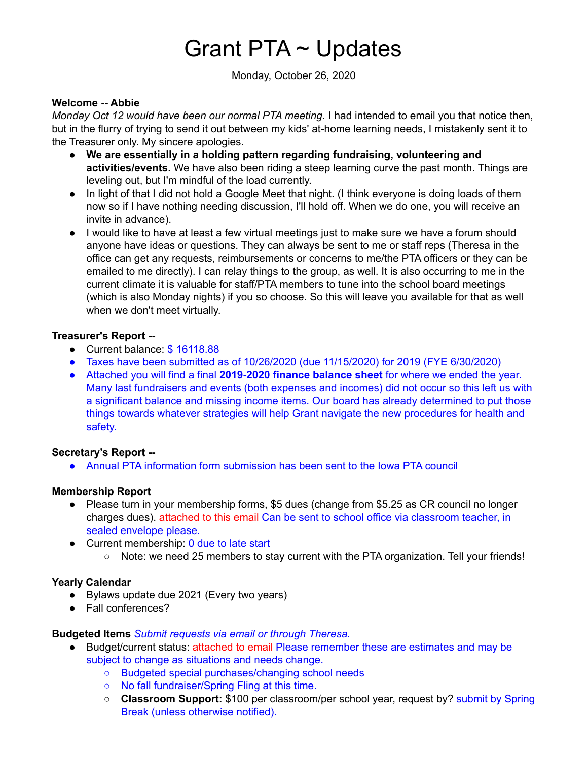# Grant PTA ~ Updates

Monday, October 26, 2020

#### **Welcome -- Abbie**

*Monday Oct 12 would have been our normal PTA meeting.* I had intended to email you that notice then, but in the flurry of trying to send it out between my kids' at-home learning needs, I mistakenly sent it to the Treasurer only. My sincere apologies.

- **We are essentially in a holding pattern regarding fundraising, volunteering and activities/events.** We have also been riding a steep learning curve the past month. Things are leveling out, but I'm mindful of the load currently.
- In light of that I did not hold a Google Meet that night. (I think everyone is doing loads of them now so if I have nothing needing discussion, I'll hold off. When we do one, you will receive an invite in advance).
- I would like to have at least a few virtual meetings just to make sure we have a forum should anyone have ideas or questions. They can always be sent to me or staff reps (Theresa in the office can get any requests, reimbursements or concerns to me/the PTA officers or they can be emailed to me directly). I can relay things to the group, as well. It is also occurring to me in the current climate it is valuable for staff/PTA members to tune into the school board meetings (which is also Monday nights) if you so choose. So this will leave you available for that as well when we don't meet virtually.

#### **Treasurer's Report --**

- Current balance: \$16118.88
- Taxes have been submitted as of  $10/26/2020$  (due  $11/15/2020$ ) for 2019 (FYE 6/30/2020)
- Attached you will find a final **2019-2020 finance balance sheet** for where we ended the year. Many last fundraisers and events (both expenses and incomes) did not occur so this left us with a significant balance and missing income items. Our board has already determined to put those things towards whatever strategies will help Grant navigate the new procedures for health and safety.

#### **Secretary's Report --**

● Annual PTA information form submission has been sent to the Iowa PTA council

#### **Membership Report**

- Please turn in your membership forms, \$5 dues (change from \$5.25 as CR council no longer charges dues). attached to this email Can be sent to school office via classroom teacher, in sealed envelope please.
- Current membership: 0 due to late start ○ Note: we need 25 members to stay current with the PTA organization. Tell your friends!

#### **Yearly Calendar**

- Bylaws update due 2021 (Every two years)
- Fall conferences?

#### **Budgeted Items** *Submit requests via email or through Theresa.*

- Budget/current status: attached to email Please remember these are estimates and may be subject to change as situations and needs change.
	- Budgeted special purchases/changing school needs
	- No fall fundraiser/Spring Fling at this time.
	- **Classroom Support:** \$100 per classroom/per school year, request by? submit by Spring Break (unless otherwise notified).